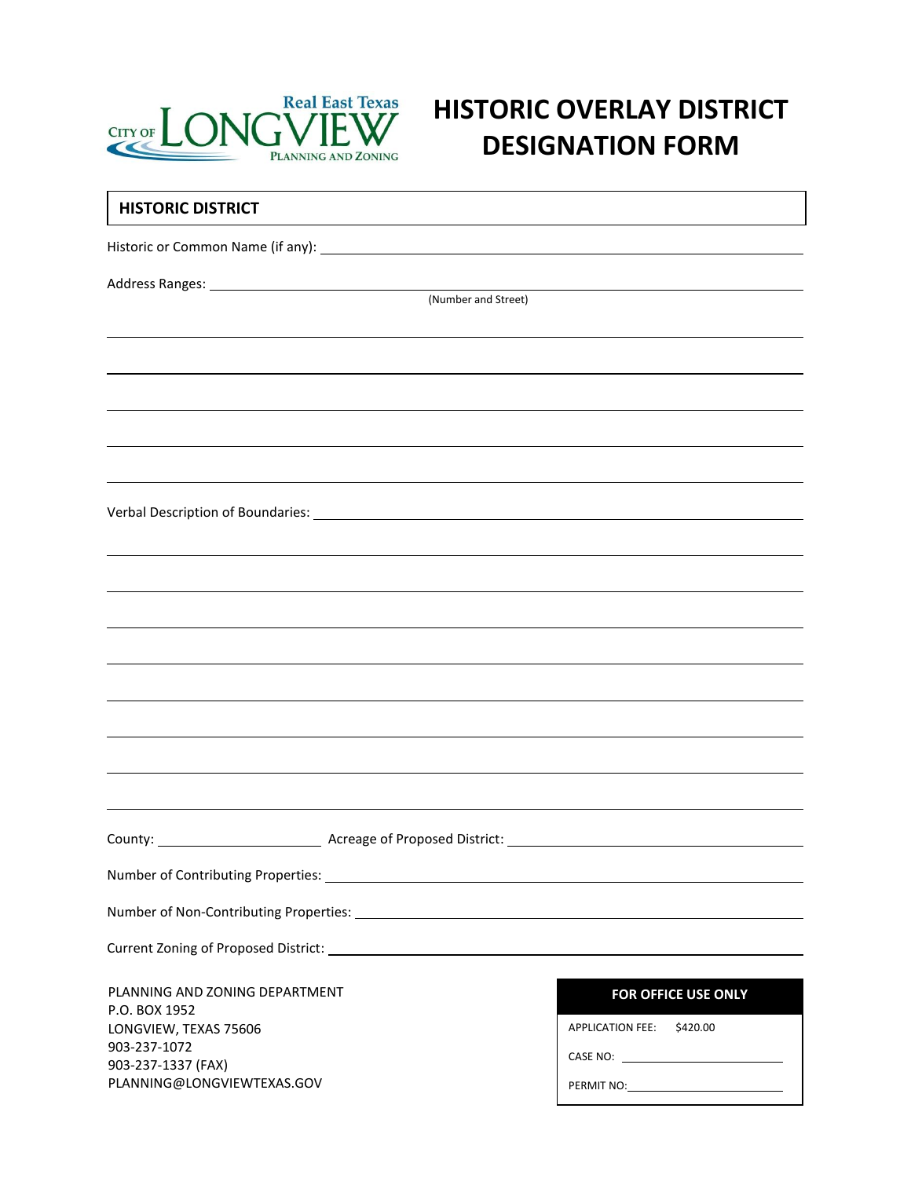

# **HISTORIC OVERLAY DISTRICT DESIGNATION FORM**

| <b>HISTORIC DISTRICT</b>                                                                                                                                                                                                       |                           |  |  |  |
|--------------------------------------------------------------------------------------------------------------------------------------------------------------------------------------------------------------------------------|---------------------------|--|--|--|
|                                                                                                                                                                                                                                |                           |  |  |  |
|                                                                                                                                                                                                                                |                           |  |  |  |
|                                                                                                                                                                                                                                | (Number and Street)       |  |  |  |
|                                                                                                                                                                                                                                |                           |  |  |  |
|                                                                                                                                                                                                                                |                           |  |  |  |
|                                                                                                                                                                                                                                |                           |  |  |  |
|                                                                                                                                                                                                                                |                           |  |  |  |
|                                                                                                                                                                                                                                |                           |  |  |  |
|                                                                                                                                                                                                                                |                           |  |  |  |
|                                                                                                                                                                                                                                |                           |  |  |  |
|                                                                                                                                                                                                                                |                           |  |  |  |
|                                                                                                                                                                                                                                |                           |  |  |  |
|                                                                                                                                                                                                                                |                           |  |  |  |
|                                                                                                                                                                                                                                |                           |  |  |  |
|                                                                                                                                                                                                                                |                           |  |  |  |
|                                                                                                                                                                                                                                |                           |  |  |  |
|                                                                                                                                                                                                                                |                           |  |  |  |
| County: County: County: County: County: County: County: County: County: County: County: County: County: County: County: County: County: County: County: County: County: County: County: County: County: County: County: County |                           |  |  |  |
|                                                                                                                                                                                                                                |                           |  |  |  |
|                                                                                                                                                                                                                                |                           |  |  |  |
|                                                                                                                                                                                                                                |                           |  |  |  |
|                                                                                                                                                                                                                                |                           |  |  |  |
| PLANNING AND ZONING DEPARTMENT                                                                                                                                                                                                 | FOR OFFICE USE ONLY       |  |  |  |
| P.O. BOX 1952<br>LONGVIEW, TEXAS 75606                                                                                                                                                                                         | APPLICATION FEE: \$420.00 |  |  |  |
| 903-237-1072<br>903-237-1337 (FAX)                                                                                                                                                                                             |                           |  |  |  |
| PLANNING@LONGVIEWTEXAS.GOV                                                                                                                                                                                                     |                           |  |  |  |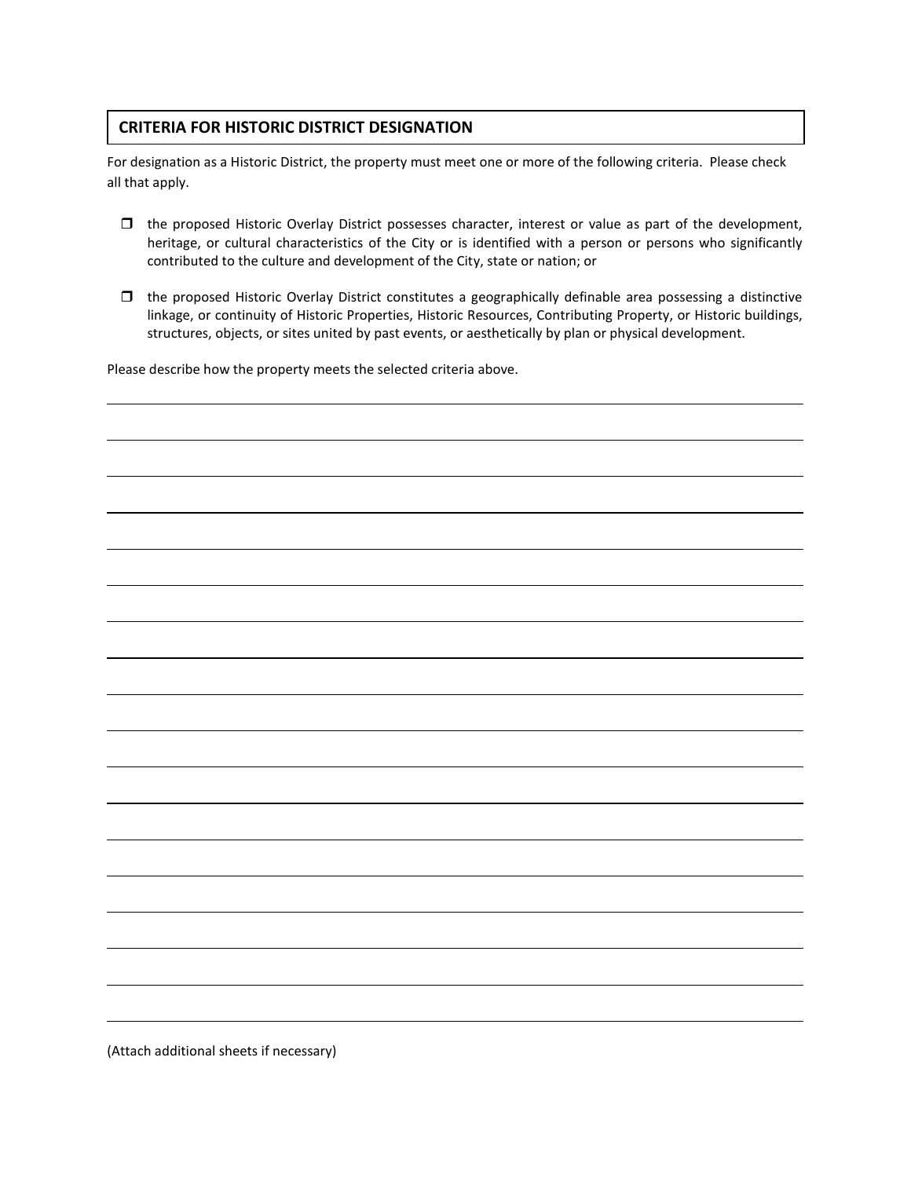#### **CRITERIA FOR HISTORIC DISTRICT DESIGNATION**

For designation as a Historic District, the property must meet one or more of the following criteria. Please check all that apply.

- $\Box$  the proposed Historic Overlay District possesses character, interest or value as part of the development, heritage, or cultural characteristics of the City or is identified with a person or persons who significantly contributed to the culture and development of the City, state or nation; or
- $\Box$  the proposed Historic Overlay District constitutes a geographically definable area possessing a distinctive linkage, or continuity of Historic Properties, Historic Resources, Contributing Property, or Historic buildings, structures, objects, or sites united by past events, or aesthetically by plan or physical development.

Please describe how the property meets the selected criteria above.



(Attach additional sheets if necessary)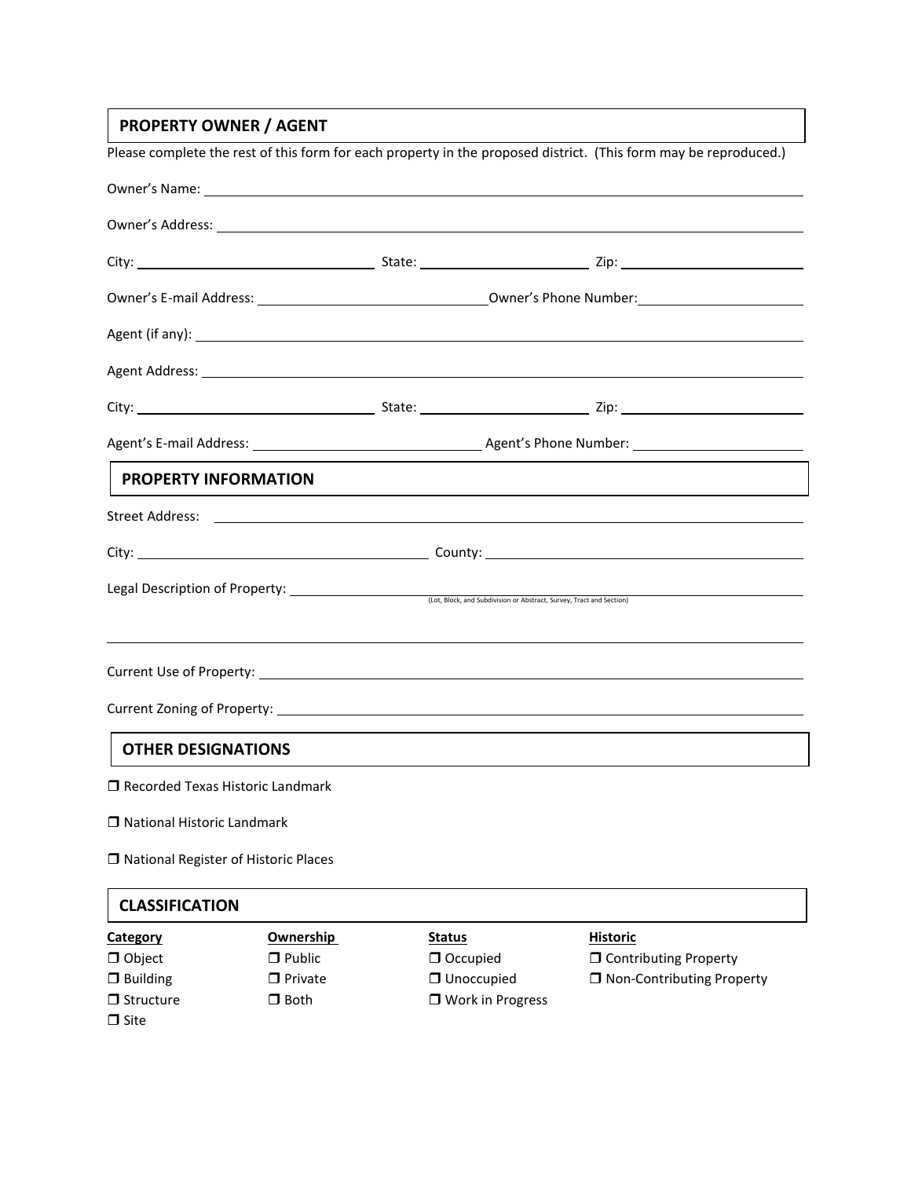# **PROPERTY OWNER / AGENT**

| Please complete the rest of this form for each property in the proposed district. (This form may be reproduced.) |  |                                                                                                                                                                                                                                      |  |  |  |
|------------------------------------------------------------------------------------------------------------------|--|--------------------------------------------------------------------------------------------------------------------------------------------------------------------------------------------------------------------------------------|--|--|--|
|                                                                                                                  |  |                                                                                                                                                                                                                                      |  |  |  |
|                                                                                                                  |  | Owner's Address: Lawrence and Contract and Contract and Contract and Contract and Contract and Contract and Contract and Contract and Contract and Contract and Contract and Contract and Contract and Contract and Contract a       |  |  |  |
|                                                                                                                  |  |                                                                                                                                                                                                                                      |  |  |  |
|                                                                                                                  |  |                                                                                                                                                                                                                                      |  |  |  |
|                                                                                                                  |  | Agent (if any): <u>example and in the set of the set of the set of the set of the set of the set of the set of the set of the set of the set of the set of the set of the set of the set of the set of the set of the set of the</u> |  |  |  |
|                                                                                                                  |  | Agent Address: <u>example and a series of the series of the series of the series of the series of the series of the series of the series of the series of the series of the series of the series of the series of the series of </u> |  |  |  |
|                                                                                                                  |  |                                                                                                                                                                                                                                      |  |  |  |
|                                                                                                                  |  |                                                                                                                                                                                                                                      |  |  |  |
| <b>PROPERTY INFORMATION</b>                                                                                      |  |                                                                                                                                                                                                                                      |  |  |  |
|                                                                                                                  |  |                                                                                                                                                                                                                                      |  |  |  |
|                                                                                                                  |  |                                                                                                                                                                                                                                      |  |  |  |
| Legal Description of Property: (Lot, Block, and Subdivision or Abstract, Survey, Tract and Section)              |  |                                                                                                                                                                                                                                      |  |  |  |
|                                                                                                                  |  |                                                                                                                                                                                                                                      |  |  |  |
|                                                                                                                  |  |                                                                                                                                                                                                                                      |  |  |  |
| <b>OTHER DESIGNATIONS</b>                                                                                        |  |                                                                                                                                                                                                                                      |  |  |  |
| □ Recorded Texas Historic Landmark                                                                               |  |                                                                                                                                                                                                                                      |  |  |  |
| □ National Historic Landmark                                                                                     |  |                                                                                                                                                                                                                                      |  |  |  |

National Register of Historic Places

#### **CLASSIFICATION**

 $\Box$  Site

**Category Ownership Status Category Historic**  $\Box$  Structure  $\Box$  Both  $\Box$  Work in Progress

 Object Public Occupied Contributing Property Building Private Unoccupied Non-Contributing Property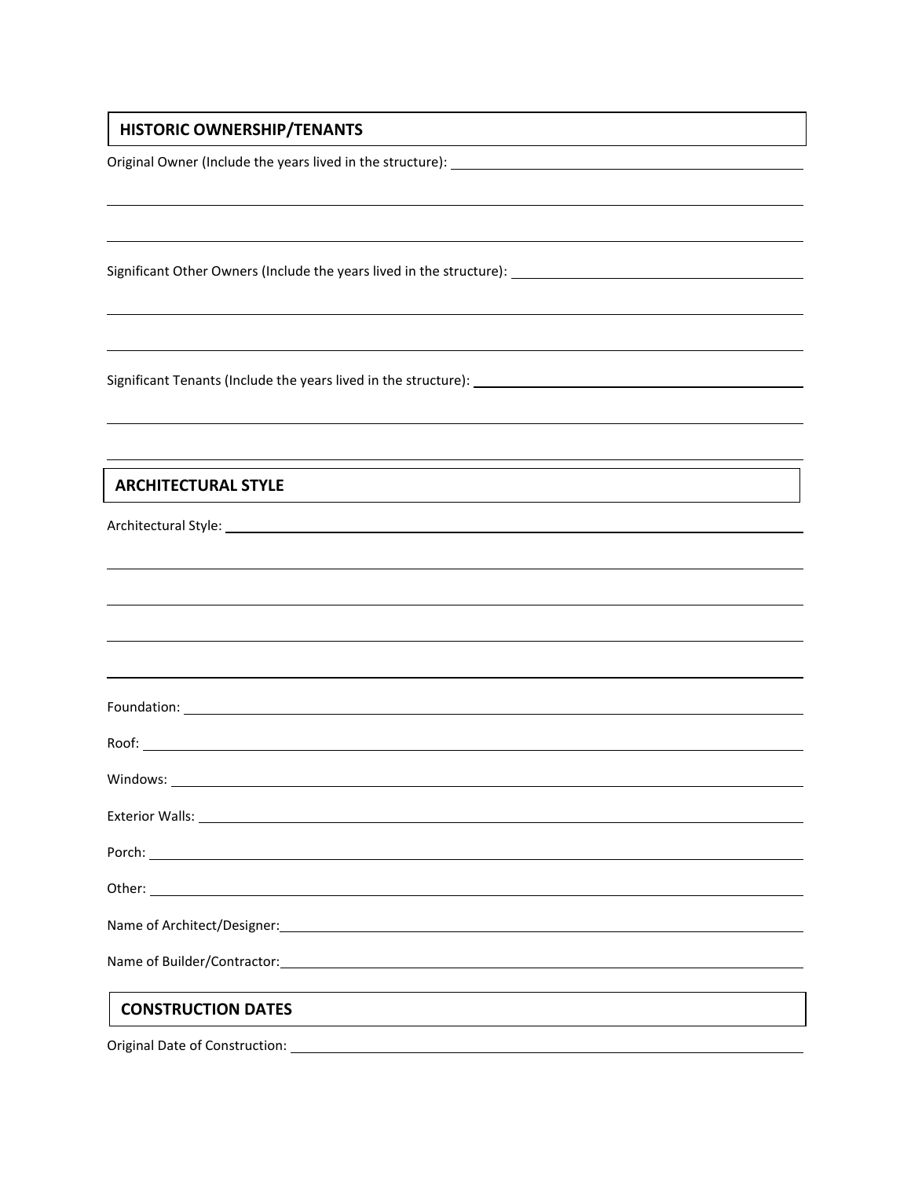## **HISTORIC OWNERSHIP/TENANTS**

Original Owner (Include the years lived in the structure):

Significant Other Owners (Include the years lived in the structure):

Significant Tenants (Include the years lived in the structure):

### **ARCHITECTURAL STYLE**

Architectural Style:

| Porch: North State Commission of the Commission of the Commission of the Commission of the Commission of the Commission of the Commission of the Commission of the Commission of the Commission of the Commission of the Commi |
|--------------------------------------------------------------------------------------------------------------------------------------------------------------------------------------------------------------------------------|
|                                                                                                                                                                                                                                |
|                                                                                                                                                                                                                                |
|                                                                                                                                                                                                                                |
| <b>CONSTRUCTION DATES</b>                                                                                                                                                                                                      |

Original Date of Construction: